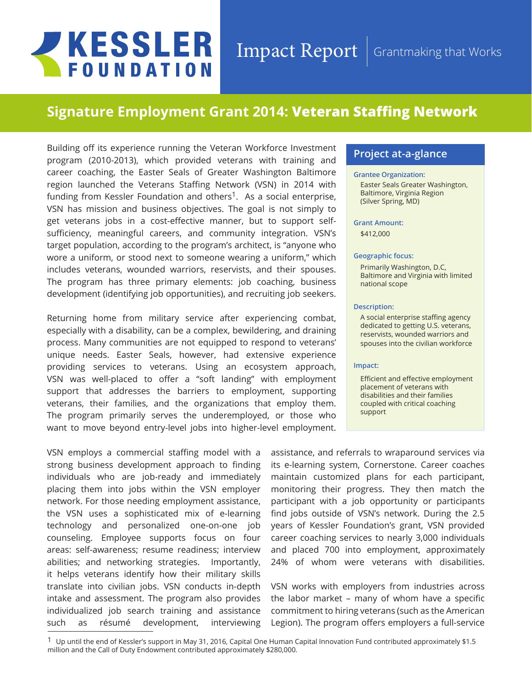# **JKESSLER FOUNDATION**

## Impact Report Grantmaking that Works

# **Signature Employment Grant 2014: Veteran Staffing Network**

Building off its experience running the Veteran Workforce Investment program (2010-2013), which provided veterans with training and career coaching, the Easter Seals of Greater Washington Baltimore region launched the Veterans Staffing Network (VSN) in 2014 with funding from Kessler Foundation and others<sup>1</sup>. As a social enterprise, VSN has mission and business objectives. The goal is not simply to get veterans jobs in a cost-effective manner, but to support selfsufficiency, meaningful careers, and community integration. VSN's target population, according to the program's architect, is "anyone who wore a uniform, or stood next to someone wearing a uniform," which includes veterans, wounded warriors, reservists, and their spouses. The program has three primary elements: job coaching, business development (identifying job opportunities), and recruiting job seekers.

Returning home from military service after experiencing combat, especially with a disability, can be a complex, bewildering, and draining process. Many communities are not equipped to respond to veterans' unique needs. Easter Seals, however, had extensive experience providing services to veterans. Using an ecosystem approach, VSN was well-placed to offer a "soft landing" with employment support that addresses the barriers to employment, supporting veterans, their families, and the organizations that employ them. The program primarily serves the underemployed, or those who want to move beyond entry-level jobs into higher-level employment.

VSN employs a commercial staffing model with a strong business development approach to finding individuals who are job-ready and immediately placing them into jobs within the VSN employer network. For those needing employment assistance, the VSN uses a sophisticated mix of e-learning technology and personalized one-on-one job counseling. Employee supports focus on four areas: self-awareness; resume readiness; interview abilities; and networking strategies. Importantly, it helps veterans identify how their military skills translate into civilian jobs. VSN conducts in-depth intake and assessment. The program also provides individualized job search training and assistance such as résumé development, interviewing

### **Project at-a-glance**

#### **Grantee Organization:**

Easter Seals Greater Washington, Baltimore, Virginia Region (Silver Spring, MD)

#### **Grant Amount:**

\$412,000

#### **Geographic focus:**

Primarily Washington, D.C, Baltimore and Virginia with limited national scope

#### **Description:**

A social enterprise staffing agency dedicated to getting U.S. veterans, reservists, wounded warriors and spouses into the civilian workforce

#### **Impact:**

Efficient and effective employment placement of veterans with disabilities and their families coupled with critical coaching support

assistance, and referrals to wraparound services via its e-learning system, Cornerstone. Career coaches maintain customized plans for each participant, monitoring their progress. They then match the participant with a job opportunity or participants find jobs outside of VSN's network. During the 2.5 years of Kessler Foundation's grant, VSN provided career coaching services to nearly 3,000 individuals and placed 700 into employment, approximately 24% of whom were veterans with disabilities.

VSN works with employers from industries across the labor market – many of whom have a specific commitment to hiring veterans (such as the American Legion). The program offers employers a full-service

 $1\,$  Up until the end of Kessler's support in May 31, 2016, Capital One Human Capital Innovation Fund contributed approximately \$1.5 million and the Call of Duty Endowment contributed approximately \$280,000.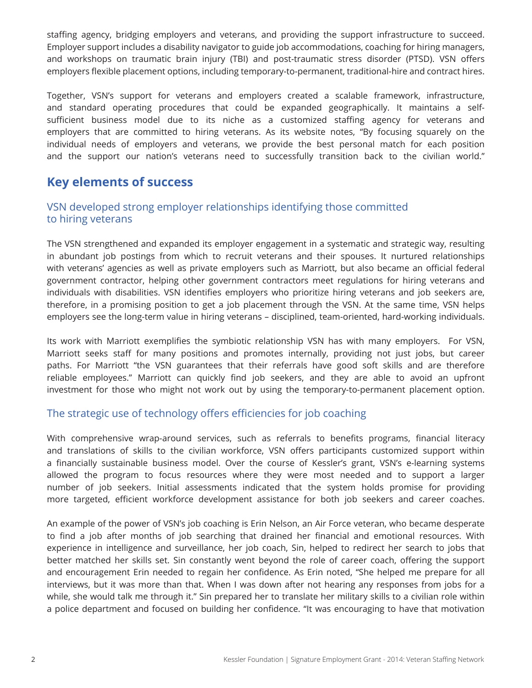staffing agency, bridging employers and veterans, and providing the support infrastructure to succeed. Employer support includes a disability navigator to guide job accommodations, coaching for hiring managers, and workshops on traumatic brain injury (TBI) and post-traumatic stress disorder (PTSD). VSN offers employers flexible placement options, including temporary-to-permanent, traditional-hire and contract hires.

Together, VSN's support for veterans and employers created a scalable framework, infrastructure, and standard operating procedures that could be expanded geographically. It maintains a selfsufficient business model due to its niche as a customized staffing agency for veterans and employers that are committed to hiring veterans. As its website notes, "By focusing squarely on the individual needs of employers and veterans, we provide the best personal match for each position and the support our nation's veterans need to successfully transition back to the civilian world."

## **Key elements of success**

## VSN developed strong employer relationships identifying those committed to hiring veterans

The VSN strengthened and expanded its employer engagement in a systematic and strategic way, resulting in abundant job postings from which to recruit veterans and their spouses. It nurtured relationships with veterans' agencies as well as private employers such as Marriott, but also became an official federal government contractor, helping other government contractors meet regulations for hiring veterans and individuals with disabilities. VSN identifies employers who prioritize hiring veterans and job seekers are, therefore, in a promising position to get a job placement through the VSN. At the same time, VSN helps employers see the long-term value in hiring veterans – disciplined, team-oriented, hard-working individuals.

Its work with Marriott exemplifies the symbiotic relationship VSN has with many employers. For VSN, Marriott seeks staff for many positions and promotes internally, providing not just jobs, but career paths. For Marriott "the VSN guarantees that their referrals have good soft skills and are therefore reliable employees." Marriott can quickly find job seekers, and they are able to avoid an upfront investment for those who might not work out by using the temporary-to-permanent placement option.

## The strategic use of technology offers efficiencies for job coaching

With comprehensive wrap-around services, such as referrals to benefits programs, financial literacy and translations of skills to the civilian workforce, VSN offers participants customized support within a financially sustainable business model. Over the course of Kessler's grant, VSN's e-learning systems allowed the program to focus resources where they were most needed and to support a larger number of job seekers. Initial assessments indicated that the system holds promise for providing more targeted, efficient workforce development assistance for both job seekers and career coaches.

An example of the power of VSN's job coaching is Erin Nelson, an Air Force veteran, who became desperate to find a job after months of job searching that drained her financial and emotional resources. With experience in intelligence and surveillance, her job coach, Sin, helped to redirect her search to jobs that better matched her skills set. Sin constantly went beyond the role of career coach, offering the support and encouragement Erin needed to regain her confidence. As Erin noted, "She helped me prepare for all interviews, but it was more than that. When I was down after not hearing any responses from jobs for a while, she would talk me through it." Sin prepared her to translate her military skills to a civilian role within a police department and focused on building her confidence. "It was encouraging to have that motivation